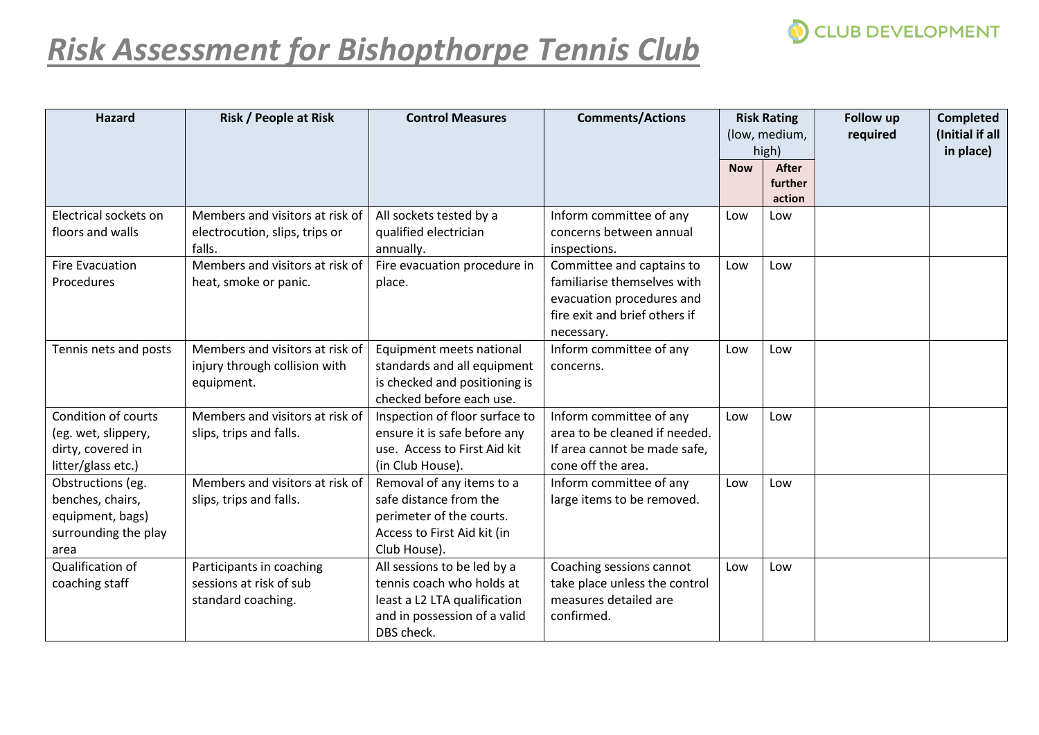

## *Risk Assessment for Bishopthorpe Tennis Club*

| <b>Hazard</b>                                                                                | <b>Risk / People at Risk</b>                                                   | <b>Control Measures</b>                                                                                                                | <b>Comments/Actions</b>                                                                                                              | <b>Risk Rating</b><br>(low, medium,<br>high) |                                   | <b>Follow up</b><br>required | <b>Completed</b><br>(Initial if all<br>in place) |
|----------------------------------------------------------------------------------------------|--------------------------------------------------------------------------------|----------------------------------------------------------------------------------------------------------------------------------------|--------------------------------------------------------------------------------------------------------------------------------------|----------------------------------------------|-----------------------------------|------------------------------|--------------------------------------------------|
|                                                                                              |                                                                                |                                                                                                                                        |                                                                                                                                      | <b>Now</b>                                   | <b>After</b><br>further<br>action |                              |                                                  |
| Electrical sockets on<br>floors and walls                                                    | Members and visitors at risk of<br>electrocution, slips, trips or<br>falls.    | All sockets tested by a<br>qualified electrician<br>annually.                                                                          | Inform committee of any<br>concerns between annual<br>inspections.                                                                   | Low                                          | Low                               |                              |                                                  |
| <b>Fire Evacuation</b><br>Procedures                                                         | Members and visitors at risk of<br>heat, smoke or panic.                       | Fire evacuation procedure in<br>place.                                                                                                 | Committee and captains to<br>familiarise themselves with<br>evacuation procedures and<br>fire exit and brief others if<br>necessary. | Low                                          | Low                               |                              |                                                  |
| Tennis nets and posts                                                                        | Members and visitors at risk of<br>injury through collision with<br>equipment. | Equipment meets national<br>standards and all equipment<br>is checked and positioning is<br>checked before each use.                   | Inform committee of any<br>concerns.                                                                                                 | Low                                          | Low                               |                              |                                                  |
| <b>Condition of courts</b><br>(eg. wet, slippery,<br>dirty, covered in<br>litter/glass etc.) | Members and visitors at risk of<br>slips, trips and falls.                     | Inspection of floor surface to<br>ensure it is safe before any<br>use. Access to First Aid kit<br>(in Club House).                     | Inform committee of any<br>area to be cleaned if needed.<br>If area cannot be made safe,<br>cone off the area.                       | Low                                          | Low                               |                              |                                                  |
| Obstructions (eg.<br>benches, chairs,<br>equipment, bags)<br>surrounding the play<br>area    | Members and visitors at risk of<br>slips, trips and falls.                     | Removal of any items to a<br>safe distance from the<br>perimeter of the courts.<br>Access to First Aid kit (in<br>Club House).         | Inform committee of any<br>large items to be removed.                                                                                | Low                                          | Low                               |                              |                                                  |
| Qualification of<br>coaching staff                                                           | Participants in coaching<br>sessions at risk of sub<br>standard coaching.      | All sessions to be led by a<br>tennis coach who holds at<br>least a L2 LTA qualification<br>and in possession of a valid<br>DBS check. | Coaching sessions cannot<br>take place unless the control<br>measures detailed are<br>confirmed.                                     | Low                                          | Low                               |                              |                                                  |